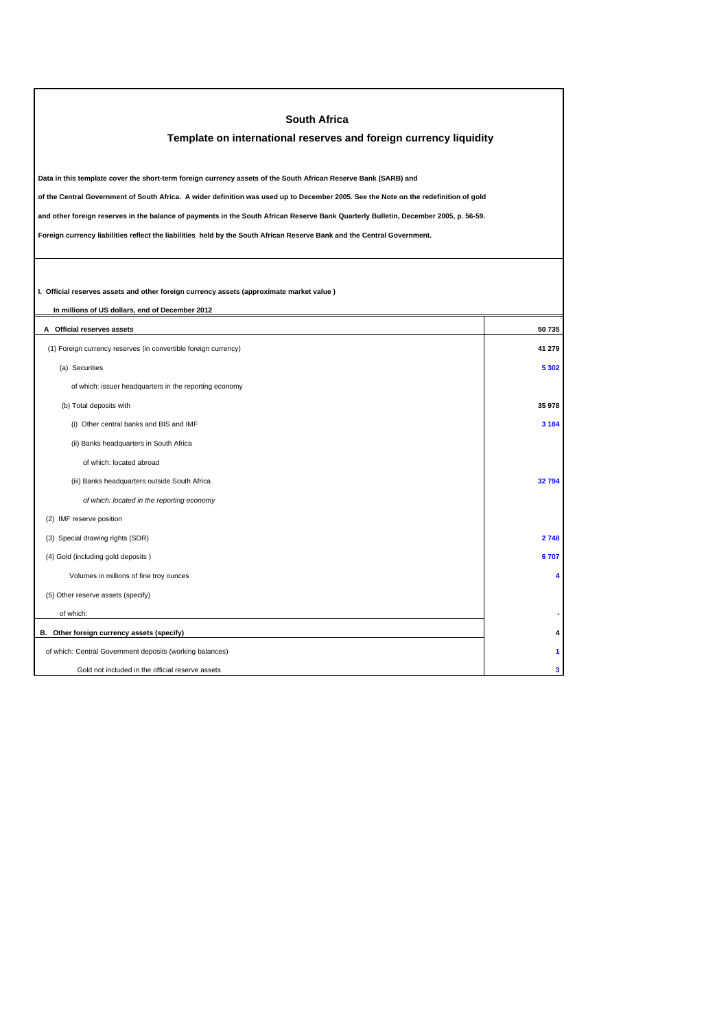| <b>South Africa</b><br>Template on international reserves and foreign currency liquidity                                                                                                                                                                                                                                                                                                                                                                                                                                   |         |  |  |
|----------------------------------------------------------------------------------------------------------------------------------------------------------------------------------------------------------------------------------------------------------------------------------------------------------------------------------------------------------------------------------------------------------------------------------------------------------------------------------------------------------------------------|---------|--|--|
| Data in this template cover the short-term foreign currency assets of the South African Reserve Bank (SARB) and<br>of the Central Government of South Africa. A wider definition was used up to December 2005. See the Note on the redefinition of gold<br>and other foreign reserves in the balance of payments in the South African Reserve Bank Quarterly Bulletin, December 2005, p. 56-59.<br>Foreign currency liabilities reflect the liabilities held by the South African Reserve Bank and the Central Government. |         |  |  |
| I. Official reserves assets and other foreign currency assets (approximate market value)<br>In millions of US dollars, end of December 2012                                                                                                                                                                                                                                                                                                                                                                                |         |  |  |
| A Official reserves assets                                                                                                                                                                                                                                                                                                                                                                                                                                                                                                 | 50735   |  |  |
| (1) Foreign currency reserves (in convertible foreign currency)                                                                                                                                                                                                                                                                                                                                                                                                                                                            | 41 279  |  |  |
| (a) Securities                                                                                                                                                                                                                                                                                                                                                                                                                                                                                                             | 5 3 0 2 |  |  |
| of which: issuer headquarters in the reporting economy                                                                                                                                                                                                                                                                                                                                                                                                                                                                     |         |  |  |
| (b) Total deposits with                                                                                                                                                                                                                                                                                                                                                                                                                                                                                                    | 35 978  |  |  |
| (i) Other central banks and BIS and IMF                                                                                                                                                                                                                                                                                                                                                                                                                                                                                    | 3 1 8 4 |  |  |
| (ii) Banks headquarters in South Africa                                                                                                                                                                                                                                                                                                                                                                                                                                                                                    |         |  |  |
| of which: located abroad                                                                                                                                                                                                                                                                                                                                                                                                                                                                                                   |         |  |  |
| (iii) Banks headquarters outside South Africa                                                                                                                                                                                                                                                                                                                                                                                                                                                                              | 32794   |  |  |
| of which: located in the reporting economy                                                                                                                                                                                                                                                                                                                                                                                                                                                                                 |         |  |  |
| (2) IMF reserve position                                                                                                                                                                                                                                                                                                                                                                                                                                                                                                   |         |  |  |
| (3) Special drawing rights (SDR)                                                                                                                                                                                                                                                                                                                                                                                                                                                                                           | 2748    |  |  |
| (4) Gold (including gold deposits)                                                                                                                                                                                                                                                                                                                                                                                                                                                                                         | 6707    |  |  |
| Volumes in millions of fine troy ounces                                                                                                                                                                                                                                                                                                                                                                                                                                                                                    | 4       |  |  |
| (5) Other reserve assets (specify)                                                                                                                                                                                                                                                                                                                                                                                                                                                                                         |         |  |  |
| of which:                                                                                                                                                                                                                                                                                                                                                                                                                                                                                                                  |         |  |  |
| B. Other foreign currency assets (specify)                                                                                                                                                                                                                                                                                                                                                                                                                                                                                 |         |  |  |
| of which: Central Government deposits (working balances)                                                                                                                                                                                                                                                                                                                                                                                                                                                                   |         |  |  |
| Gold not included in the official reserve assets                                                                                                                                                                                                                                                                                                                                                                                                                                                                           | 3       |  |  |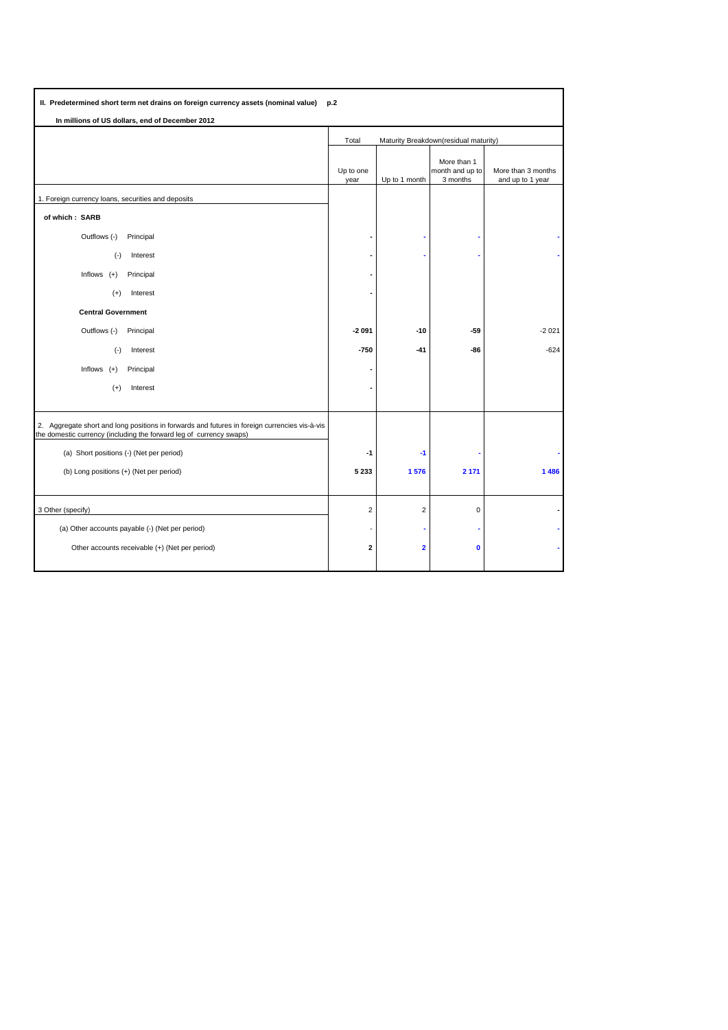| II. Predetermined short term net drains on foreign currency assets (nominal value) p.2                                                                               |                                                |                         |                                            |                                        |  |  |  |  |
|----------------------------------------------------------------------------------------------------------------------------------------------------------------------|------------------------------------------------|-------------------------|--------------------------------------------|----------------------------------------|--|--|--|--|
| In millions of US dollars, end of December 2012                                                                                                                      |                                                |                         |                                            |                                        |  |  |  |  |
|                                                                                                                                                                      | Total<br>Maturity Breakdown(residual maturity) |                         |                                            |                                        |  |  |  |  |
|                                                                                                                                                                      | Up to one<br>year                              | Up to 1 month           | More than 1<br>month and up to<br>3 months | More than 3 months<br>and up to 1 year |  |  |  |  |
| 1. Foreign currency loans, securities and deposits                                                                                                                   |                                                |                         |                                            |                                        |  |  |  |  |
| of which: SARB                                                                                                                                                       |                                                |                         |                                            |                                        |  |  |  |  |
| Outflows (-)<br>Principal                                                                                                                                            |                                                |                         |                                            |                                        |  |  |  |  |
| Interest<br>$(-)$                                                                                                                                                    |                                                |                         |                                            |                                        |  |  |  |  |
| Inflows $(+)$<br>Principal                                                                                                                                           |                                                |                         |                                            |                                        |  |  |  |  |
| Interest<br>$^{(+)}$                                                                                                                                                 |                                                |                         |                                            |                                        |  |  |  |  |
| <b>Central Government</b>                                                                                                                                            |                                                |                         |                                            |                                        |  |  |  |  |
| Outflows (-)<br>Principal                                                                                                                                            | $-2091$                                        | $-10$                   | $-59$                                      | $-2021$                                |  |  |  |  |
| Interest<br>$(-)$                                                                                                                                                    | $-750$                                         | $-41$                   | $-86$                                      | $-624$                                 |  |  |  |  |
| Inflows $(+)$<br>Principal                                                                                                                                           |                                                |                         |                                            |                                        |  |  |  |  |
| $^{(+)}$<br>Interest                                                                                                                                                 |                                                |                         |                                            |                                        |  |  |  |  |
|                                                                                                                                                                      |                                                |                         |                                            |                                        |  |  |  |  |
| 2. Aggregate short and long positions in forwards and futures in foreign currencies vis-à-vis<br>the domestic currency (including the forward leg of currency swaps) |                                                |                         |                                            |                                        |  |  |  |  |
| (a) Short positions (-) (Net per period)                                                                                                                             | -1                                             | $-1$                    |                                            |                                        |  |  |  |  |
| (b) Long positions (+) (Net per period)                                                                                                                              | 5 2 3 3                                        | 1576                    | 2 1 7 1                                    | 1 4 8 6                                |  |  |  |  |
|                                                                                                                                                                      |                                                |                         |                                            |                                        |  |  |  |  |
| 3 Other (specify)                                                                                                                                                    | $\overline{2}$                                 | $\overline{2}$          | $\mathbf 0$                                |                                        |  |  |  |  |
| (a) Other accounts payable (-) (Net per period)                                                                                                                      |                                                |                         |                                            |                                        |  |  |  |  |
| Other accounts receivable (+) (Net per period)                                                                                                                       | $\overline{\mathbf{2}}$                        | $\overline{\mathbf{2}}$ | $\mathbf 0$                                |                                        |  |  |  |  |
|                                                                                                                                                                      |                                                |                         |                                            |                                        |  |  |  |  |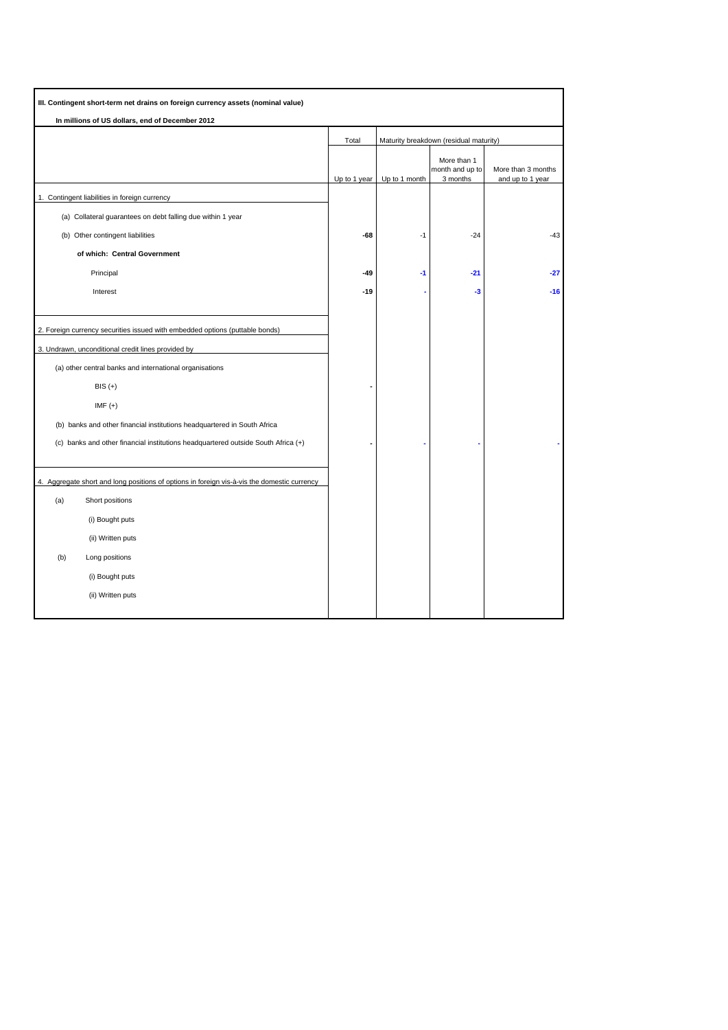| III. Contingent short-term net drains on foreign currency assets (nominal value)            |              |                                        |                                            |                                        |  |
|---------------------------------------------------------------------------------------------|--------------|----------------------------------------|--------------------------------------------|----------------------------------------|--|
| In millions of US dollars, end of December 2012                                             |              |                                        |                                            |                                        |  |
|                                                                                             | Total        | Maturity breakdown (residual maturity) |                                            |                                        |  |
|                                                                                             | Up to 1 year | Up to 1 month                          | More than 1<br>month and up to<br>3 months | More than 3 months<br>and up to 1 year |  |
| 1. Contingent liabilities in foreign currency                                               |              |                                        |                                            |                                        |  |
| (a) Collateral guarantees on debt falling due within 1 year                                 |              |                                        |                                            |                                        |  |
| (b) Other contingent liabilities                                                            | $-68$        | $-1$                                   | $-24$                                      | $-43$                                  |  |
| of which: Central Government                                                                |              |                                        |                                            |                                        |  |
| Principal                                                                                   | -49          | -1                                     | $-21$                                      | $-27$                                  |  |
| Interest                                                                                    | -19          |                                        | -3                                         | $-16$                                  |  |
|                                                                                             |              |                                        |                                            |                                        |  |
| 2. Foreign currency securities issued with embedded options (puttable bonds)                |              |                                        |                                            |                                        |  |
| 3. Undrawn, unconditional credit lines provided by                                          |              |                                        |                                            |                                        |  |
| (a) other central banks and international organisations                                     |              |                                        |                                            |                                        |  |
| $BIS (+)$                                                                                   |              |                                        |                                            |                                        |  |
| $IMF (+)$                                                                                   |              |                                        |                                            |                                        |  |
| (b) banks and other financial institutions headquartered in South Africa                    |              |                                        |                                            |                                        |  |
| (c) banks and other financial institutions headquartered outside South Africa (+)           |              |                                        |                                            |                                        |  |
|                                                                                             |              |                                        |                                            |                                        |  |
| 4. Aggregate short and long positions of options in foreign vis-à-vis the domestic currency |              |                                        |                                            |                                        |  |
| (a)<br>Short positions                                                                      |              |                                        |                                            |                                        |  |
| (i) Bought puts                                                                             |              |                                        |                                            |                                        |  |
| (ii) Written puts                                                                           |              |                                        |                                            |                                        |  |
| (b)<br>Long positions                                                                       |              |                                        |                                            |                                        |  |
| (i) Bought puts                                                                             |              |                                        |                                            |                                        |  |
| (ii) Written puts                                                                           |              |                                        |                                            |                                        |  |